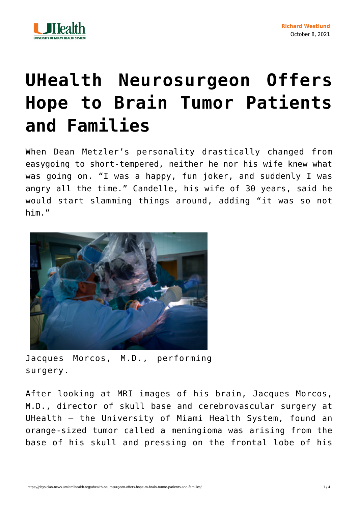

## **[UHealth Neurosurgeon Offers](https://physician-news.umiamihealth.org/uhealth-neurosurgeon-offers-hope-to-brain-tumor-patients-and-families/) [Hope to Brain Tumor Patients](https://physician-news.umiamihealth.org/uhealth-neurosurgeon-offers-hope-to-brain-tumor-patients-and-families/) [and Families](https://physician-news.umiamihealth.org/uhealth-neurosurgeon-offers-hope-to-brain-tumor-patients-and-families/)**

When Dean Metzler's personality drastically changed from easygoing to short-tempered, neither he nor his wife knew what was going on. "I was a happy, fun joker, and suddenly I was angry all the time." Candelle, his wife of 30 years, said he would start slamming things around, adding "it was so not him."



Jacques Morcos, M.D., performing surgery.

After looking at MRI images of his brain, Jacques Morcos, M.D., director of skull base and cerebrovascular surgery at UHealth – the University of Miami Health System, found an orange-sized tumor called a meningioma was arising from the base of his skull and pressing on the frontal lobe of his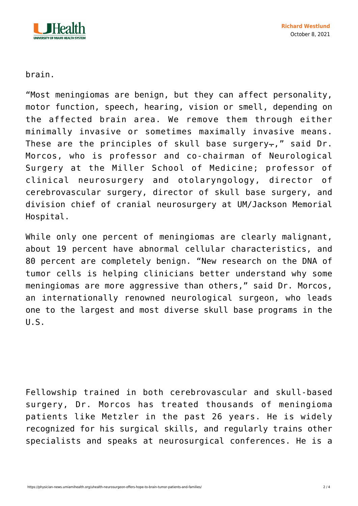

brain.

"Most meningiomas are benign, but they can affect personality, motor function, speech, hearing, vision or smell, depending on the affected brain area. We remove them through either minimally invasive or sometimes maximally invasive means. These are the principles of skull base surgery-," said Dr. Morcos, who is professor and co-chairman of Neurological Surgery at the Miller School of Medicine; professor of clinical neurosurgery and otolaryngology, director of cerebrovascular surgery, director of skull base surgery, and division chief of cranial neurosurgery at UM/Jackson Memorial Hospital.

While only one percent of meningiomas are clearly malignant, about 19 percent have abnormal cellular characteristics, and 80 percent are completely benign. "New research on the DNA of tumor cells is helping clinicians better understand why some meningiomas are more aggressive than others," said Dr. Morcos, an internationally renowned neurological surgeon, who leads one to the largest and most diverse skull base programs in the  $U.S.$ 

Fellowship trained in both cerebrovascular and skull-based surgery, Dr. Morcos has treated thousands of meningioma patients like Metzler in the past 26 years. He is widely recognized for his surgical skills, and regularly trains other specialists and speaks at neurosurgical conferences. He is a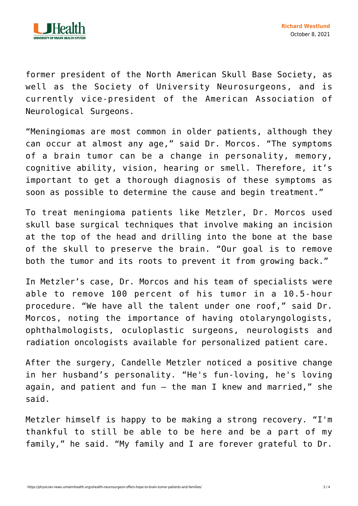

former president of the North American Skull Base Society, as well as the Society of University Neurosurgeons, and is currently vice-president of the American Association of Neurological Surgeons.

"Meningiomas are most common in older patients, although they can occur at almost any age," said Dr. Morcos. "The symptoms of a brain tumor can be a change in personality, memory, cognitive ability, vision, hearing or smell. Therefore, it's important to get a thorough diagnosis of these symptoms as soon as possible to determine the cause and begin treatment."

To treat meningioma patients like Metzler, Dr. Morcos used skull base surgical techniques that involve making an incision at the top of the head and drilling into the bone at the base of the skull to preserve the brain. "Our goal is to remove both the tumor and its roots to prevent it from growing back."

In Metzler's case, Dr. Morcos and his team of specialists were able to remove 100 percent of his tumor in a 10.5-hour procedure. "We have all the talent under one roof," said Dr. Morcos, noting the importance of having otolaryngologists, ophthalmologists, oculoplastic surgeons, neurologists and radiation oncologists available for personalized patient care.

After the surgery, Candelle Metzler noticed a positive change in her husband's personality. "He's fun-loving, he's loving again, and patient and fun  $-$  the man I knew and married," she said.

Metzler himself is happy to be making a strong recovery. "I'm thankful to still be able to be here and be a part of my family," he said. "My family and I are forever grateful to Dr.